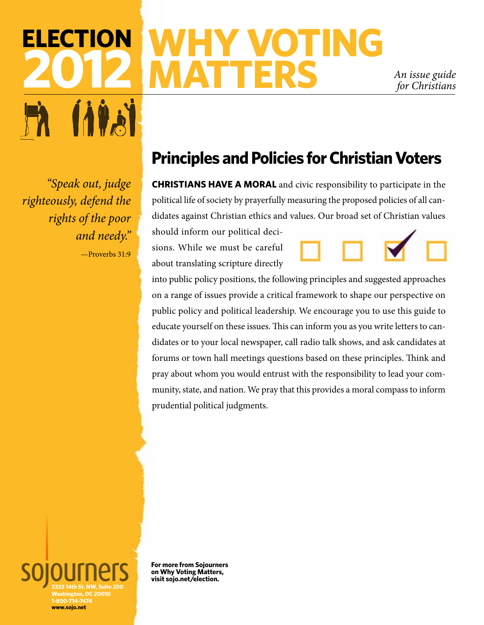# **Election 2012 why voting MATTERS** *An issue guide for Christians*

*for Christians*

*"Speak out, judge righteously, defend the rights of the poor and needy."*  —Proverbs 31:9

# **Principles and Policies for Christian Voters**

**CHRISTIANS HAVE A MORAL** and civic responsibility to participate in the political life of society by prayerfully measuring the proposed policies of all candidates against Christian ethics and values. Our broad set of Christian values

should inform our political decisions. While we must be careful about translating scripture directly



into public policy positions, the following principles and suggested approaches on a range of issues provide a critical framework to shape our perspective on public policy and political leadership. We encourage you to use this guide to educate yourself on these issues. This can inform you as you write letters to candidates or to your local newspaper, call radio talk shows, and ask candidates at forums or town hall meetings questions based on these principles. Think and pray about whom you would entrust with the responsibility to lead your community, state, and nation. We pray that this provides a moral compass to inform prudential political judgments.

**3333 14th St. NW, Suite 200 Washington, DC 20010 1-800-714-7474 www.sojo.net**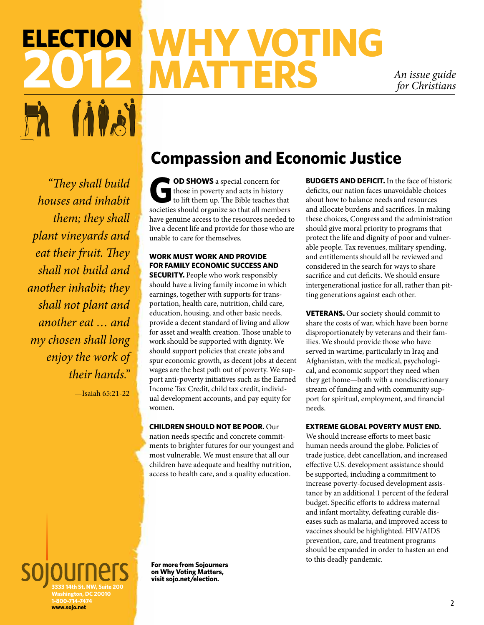# **Election 2012 WHY VOTING<br>The MATTERS MATTERS** *An issue guide*

*for Christians*

*"They shall build houses and inhabit them; they shall plant vineyards and eat their fruit. They shall not build and another inhabit; they shall not plant and another eat … and my chosen shall long enjoy the work of their hands."* 

—Isaiah 65:21-22

## **Compassion and Economic Justice**

**COD SHOWS** a special concern for<br>those in poverty and acts in history<br>to lift them up. The Bible teaches the those in poverty and acts in history to lift them up. The Bible teaches that societies should organize so that all members have genuine access to the resources needed to live a decent life and provide for those who are unable to care for themselves.

#### **Work must work and provide for family economic success and**

**SECURITY.** People who work responsibly should have a living family income in which earnings, together with supports for transportation, health care, nutrition, child care, education, housing, and other basic needs, provide a decent standard of living and allow for asset and wealth creation. Those unable to work should be supported with dignity. We should support policies that create jobs and spur economic growth, as decent jobs at decent wages are the best path out of poverty. We support anti-poverty initiatives such as the Earned Income Tax Credit, child tax credit, individual development accounts, and pay equity for women.

#### **Children should not be poor.** Our

nation needs specific and concrete commitments to brighter futures for our youngest and most vulnerable. We must ensure that all our children have adequate and healthy nutrition, access to health care, and a quality education.

**BUDGETS AND DEFICIT.** In the face of historic deficits, our nation faces unavoidable choices about how to balance needs and resources and allocate burdens and sacrifices. In making these choices, Congress and the administration should give moral priority to programs that protect the life and dignity of poor and vulnerable people. Tax revenues, military spending, and entitlements should all be reviewed and considered in the search for ways to share sacrifice and cut deficits. We should ensure intergenerational justice for all, rather than pitting generations against each other.

**VETERANS.** Our society should commit to share the costs of war, which have been borne disproportionately by veterans and their families. We should provide those who have served in wartime, particularly in Iraq and Afghanistan, with the medical, psychological, and economic support they need when they get home—both with a nondiscretionary stream of funding and with community support for spiritual, employment, and financial needs.

#### **Extreme global poverty must end.**

We should increase efforts to meet basic human needs around the globe. Policies of trade justice, debt cancellation, and increased effective U.S. development assistance should be supported, including a commitment to increase poverty-focused development assistance by an additional 1 percent of the federal budget. Specific efforts to address maternal and infant mortality, defeating curable diseases such as malaria, and improved access to vaccines should be highlighted. HIV/AIDS prevention, care, and treatment programs should be expanded in order to hasten an end to this deadly pandemic.

**3333 14th St. NW, Suite 200 Washington, DC 20010 1-800-714-7474 www.sojo.net**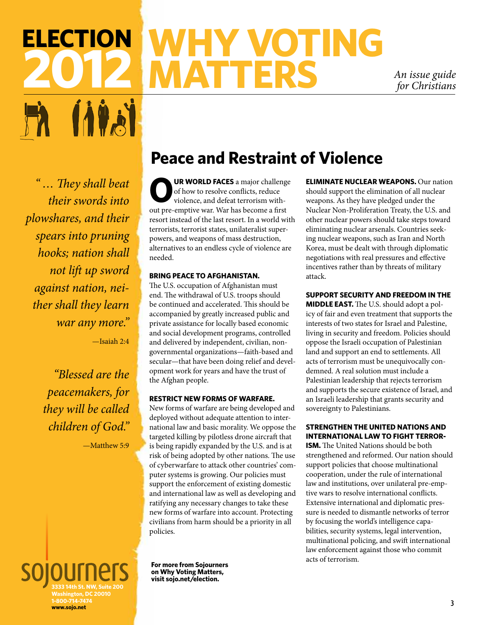# **Election 2012 WHY VOTING<br>CONNATTERS MATTERS** *An issue guide*

*for Christians*

*" … They shall beat their swords into plowshares, and their spears into pruning hooks; nation shall not lift up sword against nation, neither shall they learn war any more."*  —Isaiah 2:4

> *"Blessed are the peacemakers, for they will be called children of God."*

> > —Matthew 5:9

## **Peace and Restraint of Violence**

**UR WORLD FACES** a major challenge of how to resolve conflicts, reduce violence, and defeat terrorism without pre-emptive war. War has become a first resort instead of the last resort. In a world with terrorists, terrorist states, unilateralist superpowers, and weapons of mass destruction, alternatives to an endless cycle of violence are needed.

#### **Bring peace to Afghanistan.**

The U.S. occupation of Afghanistan must end. The withdrawal of U.S. troops should be continued and accelerated. This should be accompanied by greatly increased public and private assistance for locally based economic and social development programs, controlled and delivered by independent, civilian, nongovernmental organizations—faith-based and secular—that have been doing relief and development work for years and have the trust of the Afghan people.

#### **Restrict new forms of warfare.**

New forms of warfare are being developed and deployed without adequate attention to international law and basic morality. We oppose the targeted killing by pilotless drone aircraft that is being rapidly expanded by the U.S. and is at risk of being adopted by other nations. The use of cyberwarfare to attack other countries' computer systems is growing. Our policies must support the enforcement of existing domestic and international law as well as developing and ratifying any necessary changes to take these new forms of warfare into account. Protecting civilians from harm should be a priority in all policies.

should support the elimination of all nuclear weapons. As they have pledged under the Nuclear Non-Proliferation Treaty, the U.S. and other nuclear powers should take steps toward eliminating nuclear arsenals. Countries seeking nuclear weapons, such as Iran and North Korea, must be dealt with through diplomatic negotiations with real pressures and effective incentives rather than by threats of military attack.

**Eliminate nuclear weapons.** Our nation

#### **Support security and freedom in the**

**MIDDLE EAST.** The U.S. should adopt a policy of fair and even treatment that supports the interests of two states for Israel and Palestine, living in security and freedom. Policies should oppose the Israeli occupation of Palestinian land and support an end to settlements. All acts of terrorism must be unequivocally condemned. A real solution must include a Palestinian leadership that rejects terrorism and supports the secure existence of Israel, and an Israeli leadership that grants security and sovereignty to Palestinians.

#### **STrengthen the United Nations and international law to fight terror-**

**ism.** The United Nations should be both strengthened and reformed. Our nation should support policies that choose multinational cooperation, under the rule of international law and institutions, over unilateral pre-emptive wars to resolve international conflicts. Extensive international and diplomatic pressure is needed to dismantle networks of terror by focusing the world's intelligence capabilities, security systems, legal intervention, multinational policing, and swift international law enforcement against those who commit acts of terrorism.

**3333 14th St. NW, Suite 200 Washington, DC 20010 1-800-714-7474 www.sojo.net**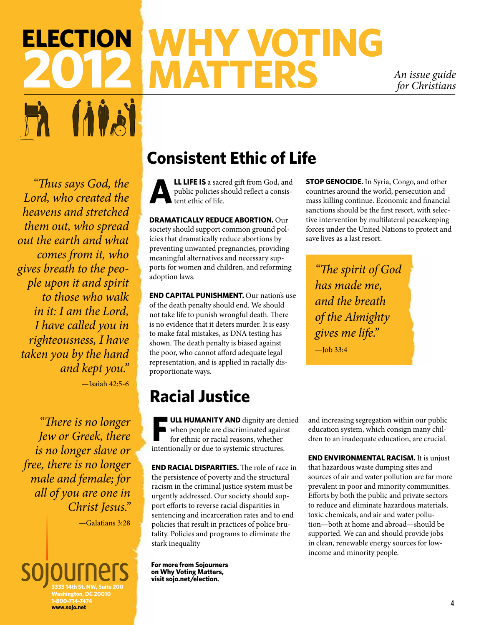# **Election 2012 MATTERS** *An issue guide*

*for Christians*

*"Thus says God, the Lord, who created the heavens and stretched them out, who spread out the earth and what comes from it, who gives breath to the people upon it and spirit to those who walk in it: I am the Lord, I have called you in righteousness, I have taken you by the hand and kept you."*  —Isaiah 42:5-6

*"There is no longer Jew or Greek, there is no longer slave or free, there is no longer male and female; for all of you are one in Christ Jesus."* 

—Galatians 3:28

#### **3333 14th St. NW, Suite 200 Washington, DC 20010 1-800-714-7474 www.sojo.net**

## **Consistent Ethic of Life**

**LL LIFE IS** a sacred gift from God, and public policies should reflect a consistent ethic of life.

**DRAMATICALLY REDUCE ABORTION. Our** society should support common ground policies that dramatically reduce abortions by preventing unwanted pregnancies, providing meaningful alternatives and necessary supports for women and children, and reforming adoption laws.

**End capital punishment.** Our nation's use of the death penalty should end. We should not take life to punish wrongful death. There is no evidence that it deters murder. It is easy to make fatal mistakes, as DNA testing has shown. The death penalty is biased against the poor, who cannot afford adequate legal representation, and is applied in racially disproportionate ways.

## **Racial Justice**

**F ull humanity and** dignity are denied when people are discriminated against for ethnic or racial reasons, whether intentionally or due to systemic structures.

**End racial disparities.** The role of race in the persistence of poverty and the structural racism in the criminal justice system must be urgently addressed. Our society should support efforts to reverse racial disparities in sentencing and incarceration rates and to end policies that result in practices of police brutality. Policies and programs to eliminate the stark inequality

**For more from Sojourners on Why Voting Matters, visit sojo.net/election.**

**Stop genocide.** In Syria, Congo, and other countries around the world, persecution and mass killing continue. Economic and financial sanctions should be the first resort, with selective intervention by multilateral peacekeeping forces under the United Nations to protect and save lives as a last resort.

*"The spirit of God has made me, and the breath of the Almighty gives me life."* 

 $-$ Job 33:4

and increasing segregation within our public education system, which consign many children to an inadequate education, are crucial.

**End environmental racism.** It is unjust that hazardous waste dumping sites and sources of air and water pollution are far more prevalent in poor and minority communities. Efforts by both the public and private sectors to reduce and eliminate hazardous materials, toxic chemicals, and air and water pollution—both at home and abroad—should be supported. We can and should provide jobs in clean, renewable energy sources for lowincome and minority people.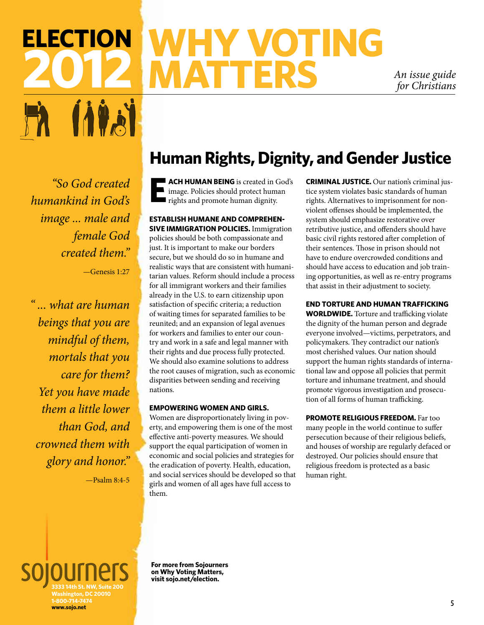# **Election 2022 WHY VOTING**<br>The MATTERS<br>Contains in the Matters **MATTERS** *An issue guide*

*for Christians*

*"So God created humankind in God's image ... male and female God created them."*

—Genesis 1:27

*" ... what are human beings that you are mindful of them, mortals that you care for them? Yet you have made them a little lower than God, and crowned them with glory and honor."* 

—Psalm 8:4-5

# **Human Rights, Dignity, and Gender Justice**

**EXAMPLE ACH HUMAN BEING** is created in God's<br> **E** image. Policies should protect human<br>
rights and promote human dignity. image. Policies should protect human rights and promote human dignity.

**Establish humane and comprehensive immigration policies.** Immigration policies should be both compassionate and just. It is important to make our borders secure, but we should do so in humane and realistic ways that are consistent with humanitarian values. Reform should include a process for all immigrant workers and their families already in the U.S. to earn citizenship upon satisfaction of specific criteria; a reduction of waiting times for separated families to be reunited; and an expansion of legal avenues for workers and families to enter our country and work in a safe and legal manner with their rights and due process fully protected. We should also examine solutions to address the root causes of migration, such as economic disparities between sending and receiving nations.

#### **Empowering women and girls.**

Women are disproportionately living in poverty, and empowering them is one of the most effective anti-poverty measures. We should support the equal participation of women in economic and social policies and strategies for the eradication of poverty. Health, education, and social services should be developed so that girls and women of all ages have full access to them.

**Criminal justice.** Our nation's criminal justice system violates basic standards of human rights. Alternatives to imprisonment for nonviolent offenses should be implemented, the system should emphasize restorative over retributive justice, and offenders should have basic civil rights restored after completion of their sentences. Those in prison should not have to endure overcrowded conditions and should have access to education and job training opportunities, as well as re-entry programs that assist in their adjustment to society.

#### **End torture and human trafficking**

**WORLDWIDE.** Torture and trafficking violate the dignity of the human person and degrade everyone involved—victims, perpetrators, and policymakers. They contradict our nation's most cherished values. Our nation should support the human rights standards of international law and oppose all policies that permit torture and inhumane treatment, and should promote vigorous investigation and prosecution of all forms of human trafficking.

**Promote religious freedom.** Far too many people in the world continue to suffer persecution because of their religious beliefs, and houses of worship are regularly defaced or destroyed. Our policies should ensure that religious freedom is protected as a basic human right.

**3333 14th St. NW, Suite 200 Washington, DC 20010 1-800-714-7474 www.sojo.net**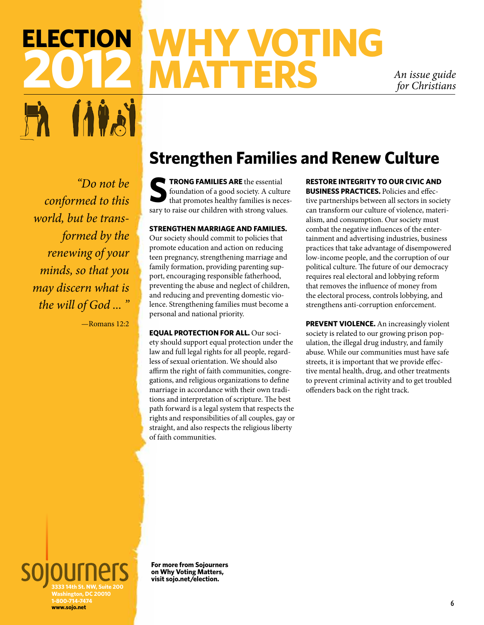# **Election 2012 MATTERS** *An issue guide*

*for Christians*

*"Do not be conformed to this world, but be transformed by the renewing of your minds, so that you may discern what is the will of God ... "*

—Romans 12:2

## **Strengthen Families and Renew Culture**

**SP TRONG FAMILIES ARE** the essential foundation of a good society. A culture that promotes healthy families is necessarily foundation of a good society. A culture that promotes healthy families is necessary to raise our children with strong values.

#### **Strengthen marriage and families.**

Our society should commit to policies that promote education and action on reducing teen pregnancy, strengthening marriage and family formation, providing parenting support, encouraging responsible fatherhood, preventing the abuse and neglect of children, and reducing and preventing domestic violence. Strengthening families must become a personal and national priority.

**Equal protection for all.** Our society should support equal protection under the law and full legal rights for all people, regardless of sexual orientation. We should also affirm the right of faith communities, congregations, and religious organizations to define marriage in accordance with their own traditions and interpretation of scripture. The best path forward is a legal system that respects the rights and responsibilities of all couples, gay or straight, and also respects the religious liberty of faith communities.

**Restore integrity to our civic and business practices.** Policies and effective partnerships between all sectors in society can transform our culture of violence, materialism, and consumption. Our society must combat the negative influences of the entertainment and advertising industries, business practices that take advantage of disempowered low-income people, and the corruption of our political culture. The future of our democracy requires real electoral and lobbying reform that removes the influence of money from the electoral process, controls lobbying, and strengthens anti-corruption enforcement.

**PREVENT VIOLENCE.** An increasingly violent society is related to our growing prison population, the illegal drug industry, and family abuse. While our communities must have safe streets, it is important that we provide effective mental health, drug, and other treatments to prevent criminal activity and to get troubled offenders back on the right track.

**3333 14th St. NW, Suite 200 Washington, DC 20010 1-800-714-7474 www.sojo.net**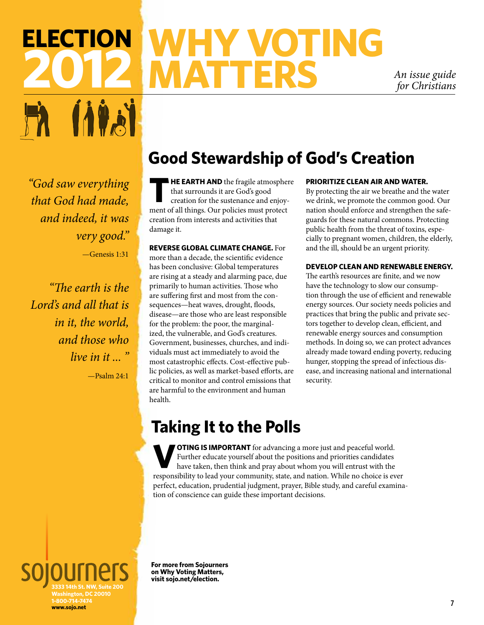# **Election 2012 MATTERS** *An issue guide*

*for Christians*

*"God saw everything that God had made, and indeed, it was very good."*

—Genesis 1:31

*"The earth is the Lord's and all that is in it, the world, and those who live in it ... "*

—Psalm 24:1

## **Good Stewardship of God's Creation**

**HE EARTH AND** the fragile atmosphere that surrounds it are God's good creation for the sustenance and enjoyment of all things. Our policies must protect creation from interests and activities that damage it.

#### **Reverse global climate change.** For

more than a decade, the scientific evidence has been conclusive: Global temperatures are rising at a steady and alarming pace, due primarily to human activities. Those who are suffering first and most from the consequences—heat waves, drought, floods, disease—are those who are least responsible for the problem: the poor, the marginalized, the vulnerable, and God's creatures. Government, businesses, churches, and individuals must act immediately to avoid the most catastrophic effects. Cost-effective public policies, as well as market-based efforts, are critical to monitor and control emissions that are harmful to the environment and human health.

#### **Prioritize clean air and water.**

By protecting the air we breathe and the water we drink, we promote the common good. Our nation should enforce and strengthen the safeguards for these natural commons. Protecting public health from the threat of toxins, especially to pregnant women, children, the elderly, and the ill, should be an urgent priority.

#### **Develop clean and renewable energy.**

The earth's resources are finite, and we now have the technology to slow our consumption through the use of efficient and renewable energy sources. Our society needs policies and practices that bring the public and private sectors together to develop clean, efficient, and renewable energy sources and consumption methods. In doing so, we can protect advances already made toward ending poverty, reducing hunger, stopping the spread of infectious disease, and increasing national and international security.

### **Taking It to the Polls**

**OTING IS IMPORTANT** for advancing a more just and peaceful world. Further educate yourself about the positions and priorities candidates have taken, then think and pray about whom you will entrust with the responsibility to lead your community, state, and nation. While no choice is ever perfect, education, prudential judgment, prayer, Bible study, and careful examination of conscience can guide these important decisions.

**3333 14th St. NW, Suite 200 Washington, DC 20010 1-800-714-7474 www.sojo.net**